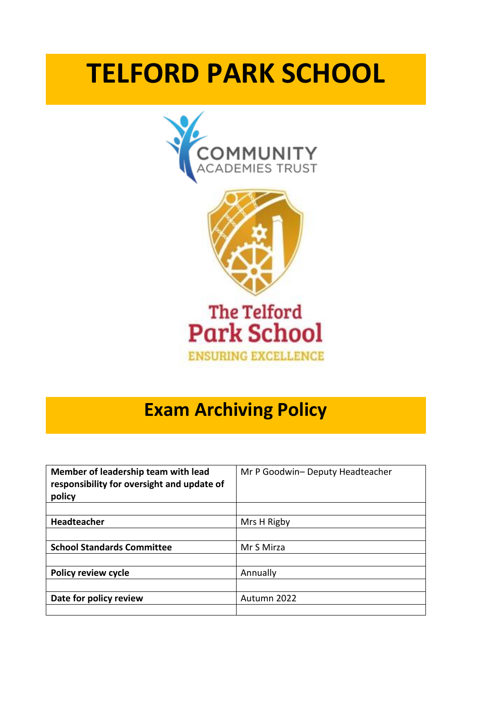## **TELFORD PARK SCHOOL**



## **Exam Archiving Policy**

| Member of leadership team with lead<br>responsibility for oversight and update of<br>policy | Mr P Goodwin- Deputy Headteacher |  |
|---------------------------------------------------------------------------------------------|----------------------------------|--|
|                                                                                             |                                  |  |
| <b>Headteacher</b>                                                                          | Mrs H Rigby                      |  |
|                                                                                             |                                  |  |
| <b>School Standards Committee</b>                                                           | Mr S Mirza                       |  |
|                                                                                             |                                  |  |
| <b>Policy review cycle</b>                                                                  | Annually                         |  |
|                                                                                             |                                  |  |
| Date for policy review                                                                      | Autumn 2022                      |  |
|                                                                                             |                                  |  |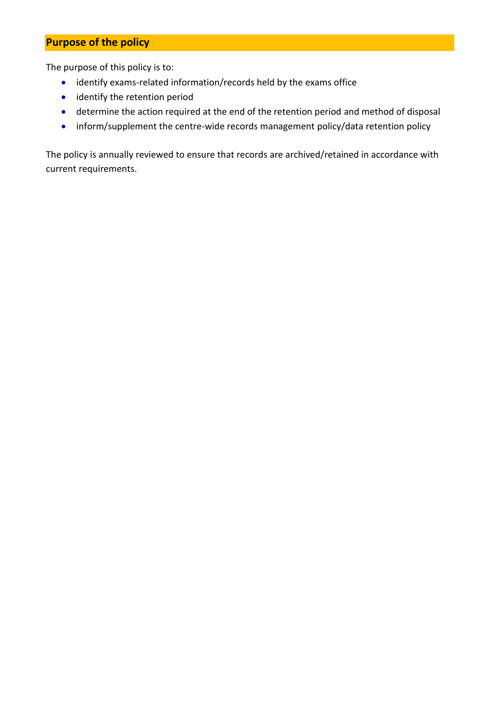## **Purpose of the policy**

The purpose of this policy is to:

- identify exams-related information/records held by the exams office
- identify the retention period
- determine the action required at the end of the retention period and method of disposal
- inform/supplement the centre-wide records management policy/data retention policy

The policy is annually reviewed to ensure that records are archived/retained in accordance with current requirements.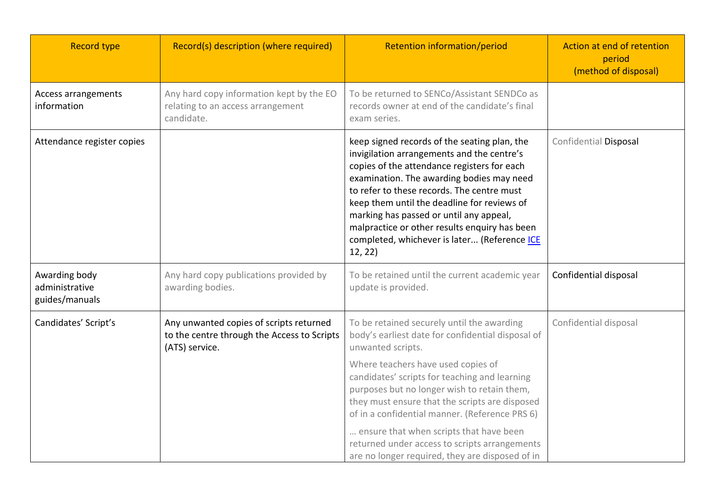| <b>Record type</b>                                | Record(s) description (where required)                                                                   | Retention information/period                                                                                                                                                                                                                                                                                                                                                                                                               | Action at end of retention<br>period<br>(method of disposal) |
|---------------------------------------------------|----------------------------------------------------------------------------------------------------------|--------------------------------------------------------------------------------------------------------------------------------------------------------------------------------------------------------------------------------------------------------------------------------------------------------------------------------------------------------------------------------------------------------------------------------------------|--------------------------------------------------------------|
| Access arrangements<br>information                | Any hard copy information kept by the EO<br>relating to an access arrangement<br>candidate.              | To be returned to SENCo/Assistant SENDCo as<br>records owner at end of the candidate's final<br>exam series.                                                                                                                                                                                                                                                                                                                               |                                                              |
| Attendance register copies                        |                                                                                                          | keep signed records of the seating plan, the<br>invigilation arrangements and the centre's<br>copies of the attendance registers for each<br>examination. The awarding bodies may need<br>to refer to these records. The centre must<br>keep them until the deadline for reviews of<br>marking has passed or until any appeal,<br>malpractice or other results enquiry has been<br>completed, whichever is later (Reference ICE<br>12, 22) | Confidential Disposal                                        |
| Awarding body<br>administrative<br>guides/manuals | Any hard copy publications provided by<br>awarding bodies.                                               | To be retained until the current academic year<br>update is provided.                                                                                                                                                                                                                                                                                                                                                                      | Confidential disposal                                        |
| Candidates' Script's                              | Any unwanted copies of scripts returned<br>to the centre through the Access to Scripts<br>(ATS) service. | To be retained securely until the awarding<br>body's earliest date for confidential disposal of<br>unwanted scripts.                                                                                                                                                                                                                                                                                                                       | Confidential disposal                                        |
|                                                   |                                                                                                          | Where teachers have used copies of<br>candidates' scripts for teaching and learning<br>purposes but no longer wish to retain them,<br>they must ensure that the scripts are disposed<br>of in a confidential manner. (Reference PRS 6)                                                                                                                                                                                                     |                                                              |
|                                                   |                                                                                                          | ensure that when scripts that have been<br>returned under access to scripts arrangements<br>are no longer required, they are disposed of in                                                                                                                                                                                                                                                                                                |                                                              |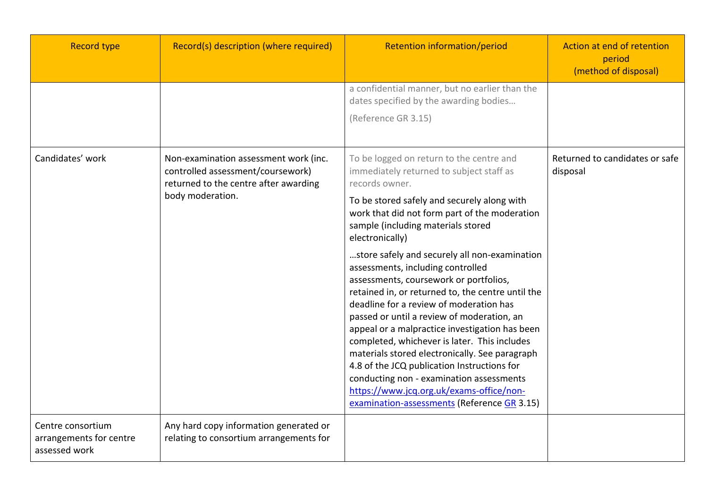| <b>Record type</b>                                            | Record(s) description (where required)                                                                              | Retention information/period                                                                                                                                                                                                                                                                                                                                                                                                                                                                                                                                                                                         | Action at end of retention<br>period<br>(method of disposal) |
|---------------------------------------------------------------|---------------------------------------------------------------------------------------------------------------------|----------------------------------------------------------------------------------------------------------------------------------------------------------------------------------------------------------------------------------------------------------------------------------------------------------------------------------------------------------------------------------------------------------------------------------------------------------------------------------------------------------------------------------------------------------------------------------------------------------------------|--------------------------------------------------------------|
|                                                               |                                                                                                                     | a confidential manner, but no earlier than the<br>dates specified by the awarding bodies<br>(Reference GR 3.15)                                                                                                                                                                                                                                                                                                                                                                                                                                                                                                      |                                                              |
| Candidates' work<br>body moderation.                          | Non-examination assessment work (inc.<br>controlled assessment/coursework)<br>returned to the centre after awarding | To be logged on return to the centre and<br>immediately returned to subject staff as<br>records owner.                                                                                                                                                                                                                                                                                                                                                                                                                                                                                                               | Returned to candidates or safe<br>disposal                   |
|                                                               |                                                                                                                     | To be stored safely and securely along with<br>work that did not form part of the moderation<br>sample (including materials stored<br>electronically)                                                                                                                                                                                                                                                                                                                                                                                                                                                                |                                                              |
|                                                               |                                                                                                                     | store safely and securely all non-examination<br>assessments, including controlled<br>assessments, coursework or portfolios,<br>retained in, or returned to, the centre until the<br>deadline for a review of moderation has<br>passed or until a review of moderation, an<br>appeal or a malpractice investigation has been<br>completed, whichever is later. This includes<br>materials stored electronically. See paragraph<br>4.8 of the JCQ publication Instructions for<br>conducting non - examination assessments<br>https://www.jcq.org.uk/exams-office/non-<br>examination-assessments (Reference GR 3.15) |                                                              |
| Centre consortium<br>arrangements for centre<br>assessed work | Any hard copy information generated or<br>relating to consortium arrangements for                                   |                                                                                                                                                                                                                                                                                                                                                                                                                                                                                                                                                                                                                      |                                                              |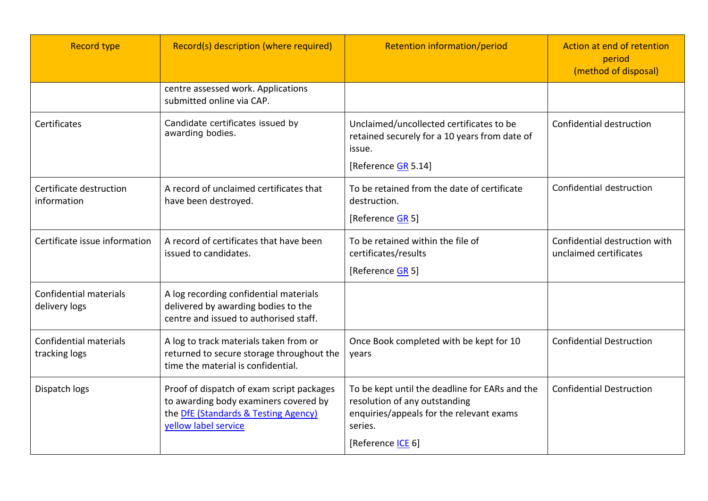| <b>Record type</b>                             | Record(s) description (where required)                                                                                                             | <b>Retention information/period</b>                                                                                                                         | Action at end of retention<br>period<br>(method of disposal) |
|------------------------------------------------|----------------------------------------------------------------------------------------------------------------------------------------------------|-------------------------------------------------------------------------------------------------------------------------------------------------------------|--------------------------------------------------------------|
|                                                | centre assessed work. Applications<br>submitted online via CAP.                                                                                    |                                                                                                                                                             |                                                              |
| Certificates                                   | Candidate certificates issued by<br>awarding bodies.                                                                                               | Unclaimed/uncollected certificates to be<br>retained securely for a 10 years from date of<br>issue.<br>[Reference GR 5.14]                                  | Confidential destruction                                     |
| Certificate destruction<br>information         | A record of unclaimed certificates that<br>have been destroyed.                                                                                    | To be retained from the date of certificate<br>destruction.<br>[Reference <b>GR</b> 5]                                                                      | Confidential destruction                                     |
| Certificate issue information                  | A record of certificates that have been<br>issued to candidates.                                                                                   | To be retained within the file of<br>certificates/results<br>[Reference <b>GR</b> 5]                                                                        | Confidential destruction with<br>unclaimed certificates      |
| <b>Confidential materials</b><br>delivery logs | A log recording confidential materials<br>delivered by awarding bodies to the<br>centre and issued to authorised staff.                            |                                                                                                                                                             |                                                              |
| <b>Confidential materials</b><br>tracking logs | A log to track materials taken from or<br>returned to secure storage throughout the<br>time the material is confidential.                          | Once Book completed with be kept for 10<br>years                                                                                                            | <b>Confidential Destruction</b>                              |
| Dispatch logs                                  | Proof of dispatch of exam script packages<br>to awarding body examiners covered by<br>the DfE (Standards & Testing Agency)<br>yellow label service | To be kept until the deadline for EARs and the<br>resolution of any outstanding<br>enquiries/appeals for the relevant exams<br>series.<br>[Reference ICE 6] | <b>Confidential Destruction</b>                              |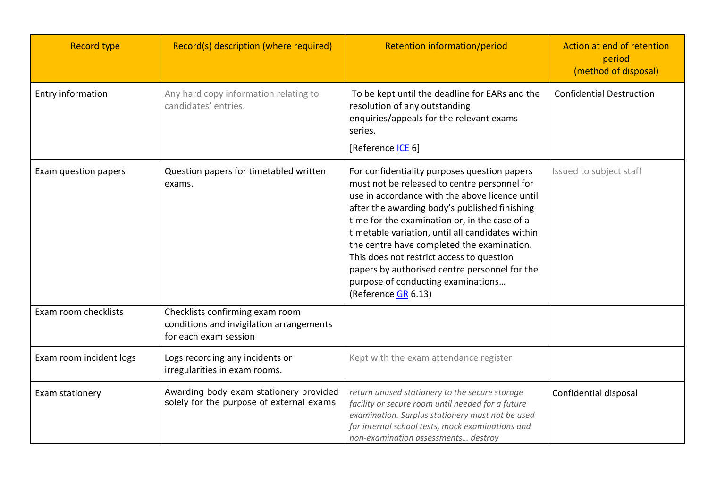| <b>Record type</b>      | Record(s) description (where required)                                                               | <b>Retention information/period</b>                                                                                                                                                                                                                                                                                                                                                                                                                                                                           | Action at end of retention<br>period<br>(method of disposal) |
|-------------------------|------------------------------------------------------------------------------------------------------|---------------------------------------------------------------------------------------------------------------------------------------------------------------------------------------------------------------------------------------------------------------------------------------------------------------------------------------------------------------------------------------------------------------------------------------------------------------------------------------------------------------|--------------------------------------------------------------|
| Entry information       | Any hard copy information relating to<br>candidates' entries.                                        | To be kept until the deadline for EARs and the<br>resolution of any outstanding<br>enquiries/appeals for the relevant exams<br>series.<br>[Reference <b>ICE 6</b> ]                                                                                                                                                                                                                                                                                                                                           | <b>Confidential Destruction</b>                              |
| Exam question papers    | Question papers for timetabled written<br>exams.                                                     | For confidentiality purposes question papers<br>must not be released to centre personnel for<br>use in accordance with the above licence until<br>after the awarding body's published finishing<br>time for the examination or, in the case of a<br>timetable variation, until all candidates within<br>the centre have completed the examination.<br>This does not restrict access to question<br>papers by authorised centre personnel for the<br>purpose of conducting examinations<br>(Reference GR 6.13) | Issued to subject staff                                      |
| Exam room checklists    | Checklists confirming exam room<br>conditions and invigilation arrangements<br>for each exam session |                                                                                                                                                                                                                                                                                                                                                                                                                                                                                                               |                                                              |
| Exam room incident logs | Logs recording any incidents or<br>irregularities in exam rooms.                                     | Kept with the exam attendance register                                                                                                                                                                                                                                                                                                                                                                                                                                                                        |                                                              |
| Exam stationery         | Awarding body exam stationery provided<br>solely for the purpose of external exams                   | return unused stationery to the secure storage<br>facility or secure room until needed for a future<br>examination. Surplus stationery must not be used<br>for internal school tests, mock examinations and<br>non-examination assessments destroy                                                                                                                                                                                                                                                            | Confidential disposal                                        |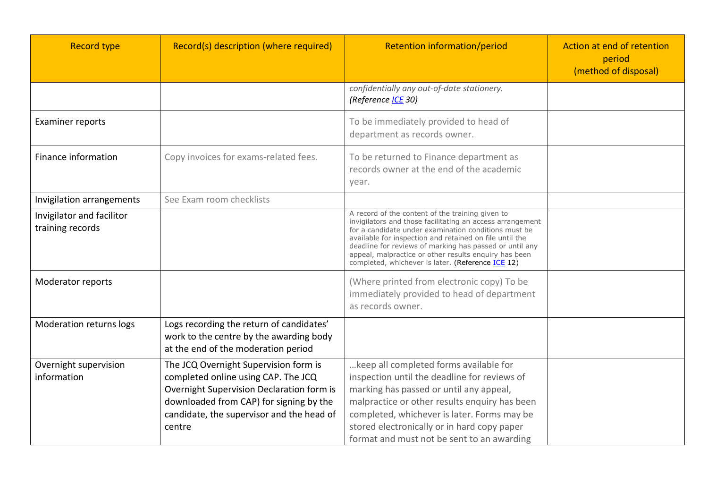| <b>Record type</b>                            | Record(s) description (where required)                                                                                                                                                                                      | <b>Retention information/period</b>                                                                                                                                                                                                                                                                                                                                                                       | Action at end of retention<br>period<br>(method of disposal) |
|-----------------------------------------------|-----------------------------------------------------------------------------------------------------------------------------------------------------------------------------------------------------------------------------|-----------------------------------------------------------------------------------------------------------------------------------------------------------------------------------------------------------------------------------------------------------------------------------------------------------------------------------------------------------------------------------------------------------|--------------------------------------------------------------|
|                                               |                                                                                                                                                                                                                             | confidentially any out-of-date stationery.<br>(Reference ICE 30)                                                                                                                                                                                                                                                                                                                                          |                                                              |
| <b>Examiner reports</b>                       |                                                                                                                                                                                                                             | To be immediately provided to head of<br>department as records owner.                                                                                                                                                                                                                                                                                                                                     |                                                              |
| Finance information                           | Copy invoices for exams-related fees.                                                                                                                                                                                       | To be returned to Finance department as<br>records owner at the end of the academic<br>year.                                                                                                                                                                                                                                                                                                              |                                                              |
| Invigilation arrangements                     | See Exam room checklists                                                                                                                                                                                                    |                                                                                                                                                                                                                                                                                                                                                                                                           |                                                              |
| Invigilator and facilitor<br>training records |                                                                                                                                                                                                                             | A record of the content of the training given to<br>invigilators and those facilitating an access arrangement<br>for a candidate under examination conditions must be<br>available for inspection and retained on file until the<br>deadline for reviews of marking has passed or until any<br>appeal, malpractice or other results enquiry has been<br>completed, whichever is later. (Reference ICE 12) |                                                              |
| Moderator reports                             |                                                                                                                                                                                                                             | (Where printed from electronic copy) To be<br>immediately provided to head of department<br>as records owner.                                                                                                                                                                                                                                                                                             |                                                              |
| Moderation returns logs                       | Logs recording the return of candidates'<br>work to the centre by the awarding body<br>at the end of the moderation period                                                                                                  |                                                                                                                                                                                                                                                                                                                                                                                                           |                                                              |
| Overnight supervision<br>information          | The JCQ Overnight Supervision form is<br>completed online using CAP. The JCQ<br>Overnight Supervision Declaration form is<br>downloaded from CAP) for signing by the<br>candidate, the supervisor and the head of<br>centre | keep all completed forms available for<br>inspection until the deadline for reviews of<br>marking has passed or until any appeal,<br>malpractice or other results enquiry has been<br>completed, whichever is later. Forms may be<br>stored electronically or in hard copy paper<br>format and must not be sent to an awarding                                                                            |                                                              |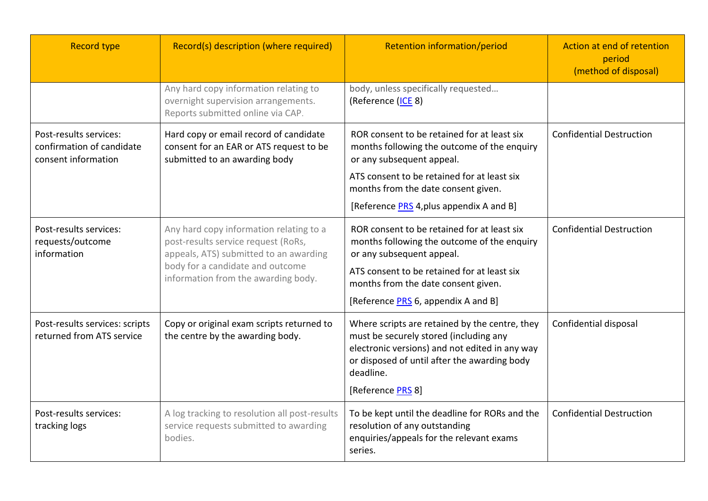| <b>Record type</b>                                                         | Record(s) description (where required)                                                                                                                                                              | Retention information/period                                                                                                                                                                                                                                     | Action at end of retention<br>period<br>(method of disposal) |
|----------------------------------------------------------------------------|-----------------------------------------------------------------------------------------------------------------------------------------------------------------------------------------------------|------------------------------------------------------------------------------------------------------------------------------------------------------------------------------------------------------------------------------------------------------------------|--------------------------------------------------------------|
|                                                                            | Any hard copy information relating to<br>overnight supervision arrangements.<br>Reports submitted online via CAP.                                                                                   | body, unless specifically requested<br>(Reference (ICE 8)                                                                                                                                                                                                        |                                                              |
| Post-results services:<br>confirmation of candidate<br>consent information | Hard copy or email record of candidate<br>consent for an EAR or ATS request to be<br>submitted to an awarding body                                                                                  | ROR consent to be retained for at least six<br>months following the outcome of the enquiry<br>or any subsequent appeal.<br>ATS consent to be retained for at least six<br>months from the date consent given.<br>[Reference <b>PRS</b> 4, plus appendix A and B] | <b>Confidential Destruction</b>                              |
| Post-results services:<br>requests/outcome<br>information                  | Any hard copy information relating to a<br>post-results service request (RoRs,<br>appeals, ATS) submitted to an awarding<br>body for a candidate and outcome<br>information from the awarding body. | ROR consent to be retained for at least six<br>months following the outcome of the enquiry<br>or any subsequent appeal.<br>ATS consent to be retained for at least six<br>months from the date consent given.<br>[Reference <b>PRS</b> 6, appendix A and B]      | <b>Confidential Destruction</b>                              |
| Post-results services: scripts<br>returned from ATS service                | Copy or original exam scripts returned to<br>the centre by the awarding body.                                                                                                                       | Where scripts are retained by the centre, they<br>must be securely stored (including any<br>electronic versions) and not edited in any way<br>or disposed of until after the awarding body<br>deadline.<br>[Reference PRS 8]                                     | Confidential disposal                                        |
| Post-results services:<br>tracking logs                                    | A log tracking to resolution all post-results<br>service requests submitted to awarding<br>bodies.                                                                                                  | To be kept until the deadline for RORs and the<br>resolution of any outstanding<br>enquiries/appeals for the relevant exams<br>series.                                                                                                                           | <b>Confidential Destruction</b>                              |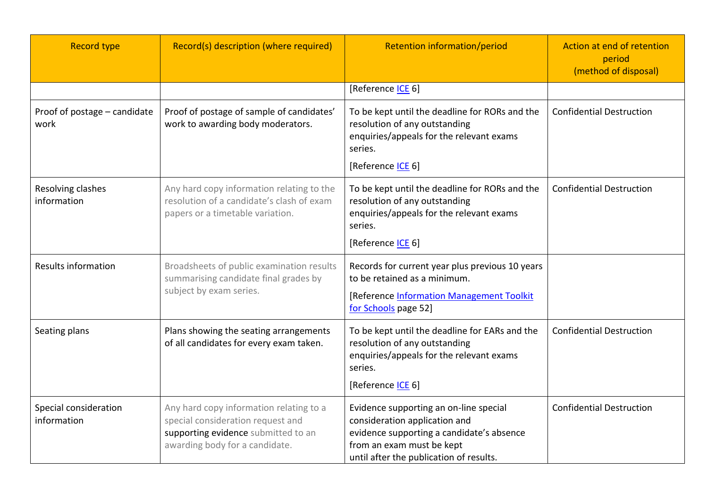| <b>Record type</b>                   | Record(s) description (where required)                                                                                                                | <b>Retention information/period</b>                                                                                                                                                          | Action at end of retention<br>period<br>(method of disposal) |
|--------------------------------------|-------------------------------------------------------------------------------------------------------------------------------------------------------|----------------------------------------------------------------------------------------------------------------------------------------------------------------------------------------------|--------------------------------------------------------------|
|                                      |                                                                                                                                                       | [Reference <b>ICE 6</b> ]                                                                                                                                                                    |                                                              |
| Proof of postage - candidate<br>work | Proof of postage of sample of candidates'<br>work to awarding body moderators.                                                                        | To be kept until the deadline for RORs and the<br>resolution of any outstanding<br>enquiries/appeals for the relevant exams<br>series.<br>[Reference <b>ICE</b> 6]                           | <b>Confidential Destruction</b>                              |
| Resolving clashes<br>information     | Any hard copy information relating to the<br>resolution of a candidate's clash of exam<br>papers or a timetable variation.                            | To be kept until the deadline for RORs and the<br>resolution of any outstanding<br>enquiries/appeals for the relevant exams<br>series.<br>[Reference ICE 6]                                  | <b>Confidential Destruction</b>                              |
| <b>Results information</b>           | Broadsheets of public examination results<br>summarising candidate final grades by<br>subject by exam series.                                         | Records for current year plus previous 10 years<br>to be retained as a minimum.<br>[Reference Information Management Toolkit<br>for Schools page 52]                                         |                                                              |
| Seating plans                        | Plans showing the seating arrangements<br>of all candidates for every exam taken.                                                                     | To be kept until the deadline for EARs and the<br>resolution of any outstanding<br>enquiries/appeals for the relevant exams<br>series.<br>[Reference <b>ICE 6</b> ]                          | <b>Confidential Destruction</b>                              |
| Special consideration<br>information | Any hard copy information relating to a<br>special consideration request and<br>supporting evidence submitted to an<br>awarding body for a candidate. | Evidence supporting an on-line special<br>consideration application and<br>evidence supporting a candidate's absence<br>from an exam must be kept<br>until after the publication of results. | <b>Confidential Destruction</b>                              |